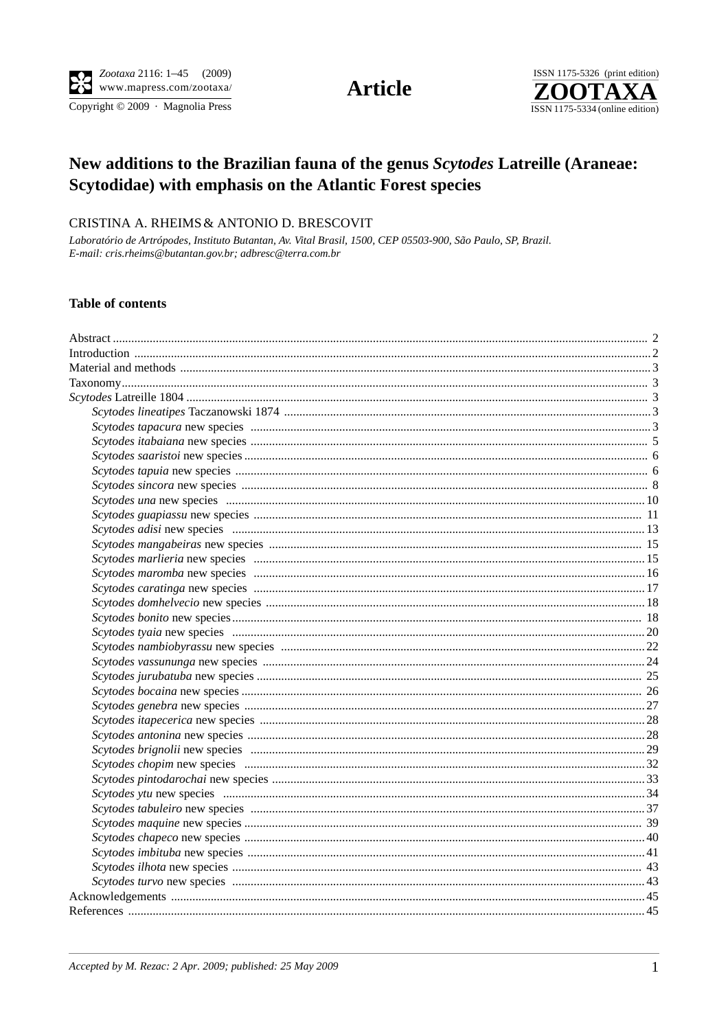Copyright © 2009 · Magnolia Press

**Article** 



# New additions to the Brazilian fauna of the genus Scytodes Latreille (Araneae: Scytodidae) with emphasis on the Atlantic Forest species

## CRISTINA A. RHEIMS & ANTONIO D. BRESCOVIT

Laboratório de Artrópodes, Instituto Butantan, Av. Vital Brasil, 1500, CEP 05503-900, São Paulo, SP, Brazil. E-mail: cris.rheims@butantan.gov.br; adbresc@terra.com.br

## **Table of contents**